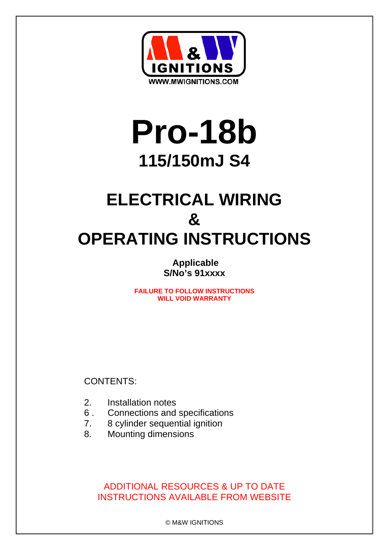

# **Pro-18b 115/150mJ S4**

# **ELECTRICAL WIRING & OPERATING INSTRUCTIONS**

**Applicable S/No's 91xxxx** 

**FAILURE TO FOLLOW INSTRUCTIONS WILL VOID WARRANTY**

CONTENTS:

- 2. Installation notes
- 6 . Connections and specifications
- 7. 8 cylinder sequential ignition
- 8. Mounting dimensions

# ADDITIONAL RESOURCES & UP TO DATE INSTRUCTIONS AVAILABLE FROM WEBSITE

© M&W IGNITIONS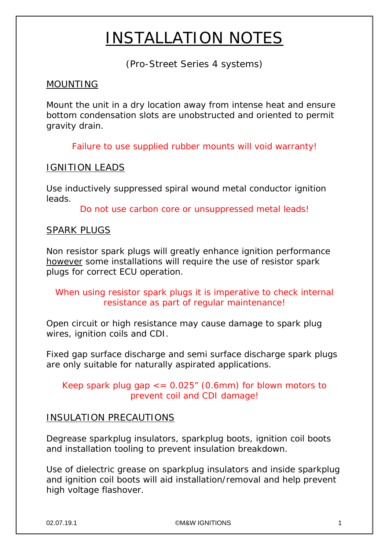# INSTALLATION NOTES

(Pro-Street Series 4 systems)

# MOUNTING

Mount the unit in a dry location away from intense heat and ensure bottom condensation slots are unobstructed and oriented to permit gravity drain.

Failure to use supplied rubber mounts will void warranty!

# IGNITION LEADS

Use inductively suppressed spiral wound metal conductor ignition leads.

Do not use carbon core or unsuppressed metal leads!

# SPARK PLUGS

Non resistor spark plugs will greatly enhance ignition performance however some installations will require the use of resistor spark plugs for correct ECU operation.

# When using resistor spark plugs it is imperative to check internal resistance as part of regular maintenance!

Open circuit or high resistance may cause damage to spark plug wires, ignition coils and CDI.

Fixed gap surface discharge and semi surface discharge spark plugs are only suitable for naturally aspirated applications.

Keep spark plug gap  $\epsilon$  = 0.025" (0.6mm) for blown motors to prevent coil and CDI damage!

# INSULATION PRECAUTIONS

Degrease sparkplug insulators, sparkplug boots, ignition coil boots and installation tooling to prevent insulation breakdown.

Use of dielectric grease on sparkplug insulators and inside sparkplug and ignition coil boots will aid installation/removal and help prevent high voltage flashover.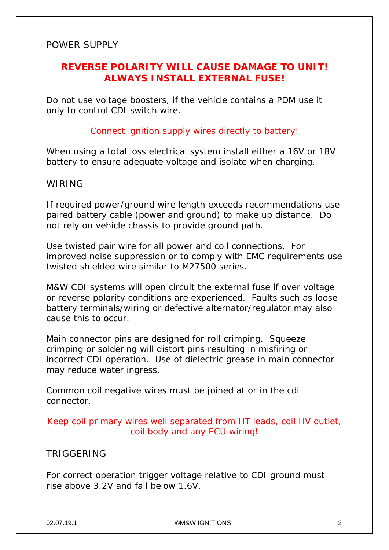#### POWER SUPPLY

# **REVERSE POLARITY WILL CAUSE DAMAGE TO UNIT! ALWAYS INSTALL EXTERNAL FUSE!**

Do not use voltage boosters, if the vehicle contains a PDM use it only to control CDI switch wire.

#### Connect ignition supply wires directly to battery!

When using a total loss electrical system install either a 16V or 18V battery to ensure adequate voltage and isolate when charging.

#### WIRING

If required power/ground wire length exceeds recommendations use paired battery cable (power and ground) to make up distance. Do not rely on vehicle chassis to provide ground path.

Use twisted pair wire for all power and coil connections. For improved noise suppression or to comply with EMC requirements use twisted shielded wire similar to M27500 series.

M&W CDI systems will open circuit the external fuse if over voltage or reverse polarity conditions are experienced. Faults such as loose battery terminals/wiring or defective alternator/regulator may also cause this to occur.

Main connector pins are designed for roll crimping. Squeeze crimping or soldering will distort pins resulting in misfiring or incorrect CDI operation. Use of dielectric grease in main connector may reduce water ingress.

Common coil negative wires must be joined at or in the cdi connector.

#### Keep coil primary wires well separated from HT leads, coil HV outlet, coil body and any ECU wiring!

#### TRIGGERING

For correct operation trigger voltage relative to CDI ground must rise above 3.2V and fall below 1.6V.

02.07.19.1 ©M&W IGNITIONS 2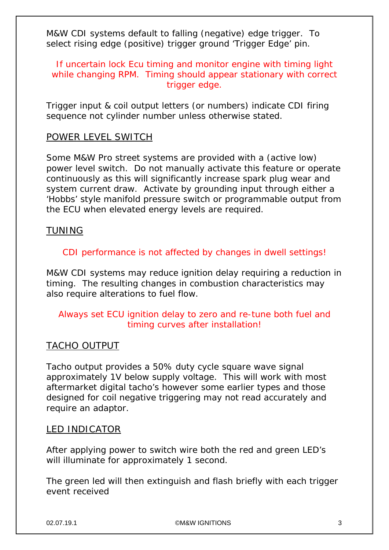M&W CDI systems default to falling (negative) edge trigger. To select rising edge (positive) trigger ground 'Trigger Edge' pin.

If uncertain lock Ecu timing and monitor engine with timing light while changing RPM. Timing should appear stationary with correct trigger edge.

Trigger input & coil output letters (or numbers) indicate CDI firing sequence not cylinder number unless otherwise stated.

#### POWER LEVEL SWITCH

Some M&W Pro street systems are provided with a (active low) power level switch. Do not manually activate this feature or operate continuously as this will significantly increase spark plug wear and system current draw. Activate by grounding input through either a 'Hobbs' style manifold pressure switch or programmable output from the ECU when elevated energy levels are required.

#### **TUNING**

#### CDI performance is not affected by changes in dwell settings!

M&W CDI systems may reduce ignition delay requiring a reduction in timing. The resulting changes in combustion characteristics may also require alterations to fuel flow.

# Always set ECU ignition delay to zero and re-tune both fuel and timing curves after installation!

# TACHO OUTPUT

Tacho output provides a 50% duty cycle square wave signal approximately 1V below supply voltage. This will work with most aftermarket digital tacho's however some earlier types and those designed for coil negative triggering may not read accurately and require an adaptor.

#### LED INDICATOR

After applying power to switch wire both the red and green LED's will illuminate for approximately 1 second.

The green led will then extinguish and flash briefly with each trigger event received

02.07.19.1 ©M&W IGNITIONS 3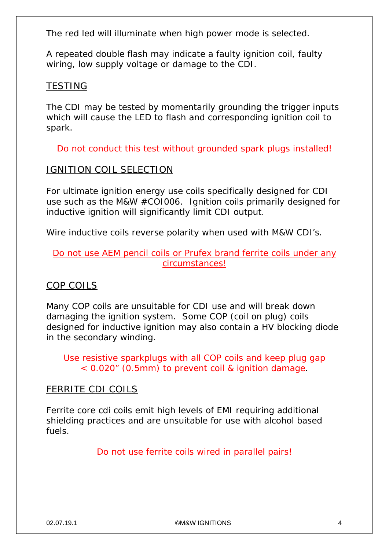The red led will illuminate when high power mode is selected.

A repeated double flash may indicate a faulty ignition coil, faulty wiring, low supply voltage or damage to the CDI.

#### TESTING

The CDI may be tested by momentarily grounding the trigger inputs which will cause the LED to flash and corresponding ignition coil to spark.

Do not conduct this test without grounded spark plugs installed!

#### IGNITION COIL SELECTION

For ultimate ignition energy use coils specifically designed for CDI use such as the M&W #COI006. Ignition coils primarily designed for inductive ignition will significantly limit CDI output.

Wire inductive coils reverse polarity when used with M&W CDI's.

#### Do not use AEM pencil coils or Prufex brand ferrite coils under any circumstances!

# COP COILS

Many COP coils are unsuitable for CDI use and will break down damaging the ignition system. Some COP (coil on plug) coils designed for inductive ignition may also contain a HV blocking diode in the secondary winding.

Use resistive sparkplugs with all COP coils and keep plug gap < 0.020" (0.5mm) to prevent coil & ignition damage.

#### FERRITE CDI COILS

Ferrite core cdi coils emit high levels of EMI requiring additional shielding practices and are unsuitable for use with alcohol based fuels.

Do not use ferrite coils wired in parallel pairs!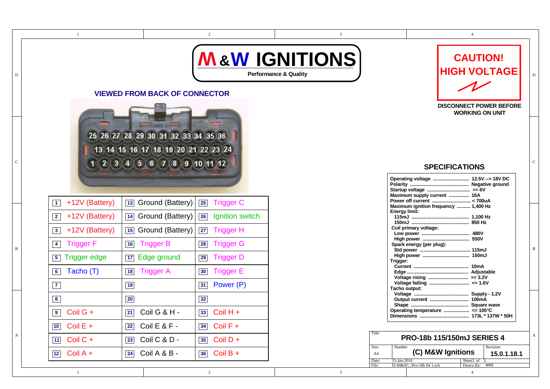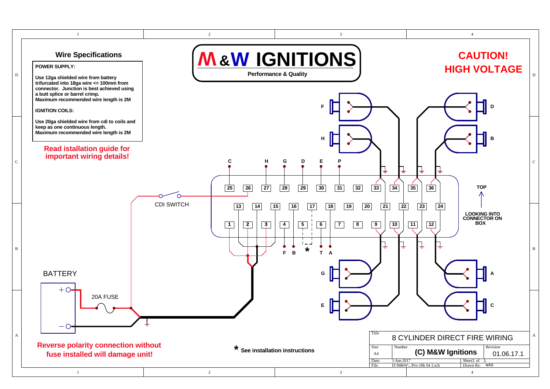